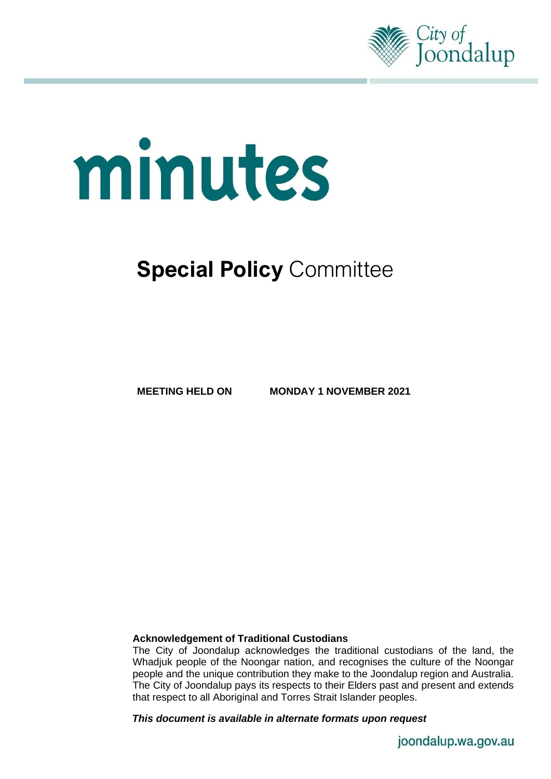

# minutes

# **Special Policy Committee**

**MEETING HELD ON MONDAY 1 NOVEMBER 2021**

# **Acknowledgement of Traditional Custodians**

The City of Joondalup acknowledges the traditional custodians of the land, the Whadjuk people of the Noongar nation, and recognises the culture of the Noongar people and the unique contribution they make to the Joondalup region and Australia. The City of Joondalup pays its respects to their Elders past and present and extends that respect to all Aboriginal and Torres Strait Islander peoples.

*This document is available in alternate formats upon request*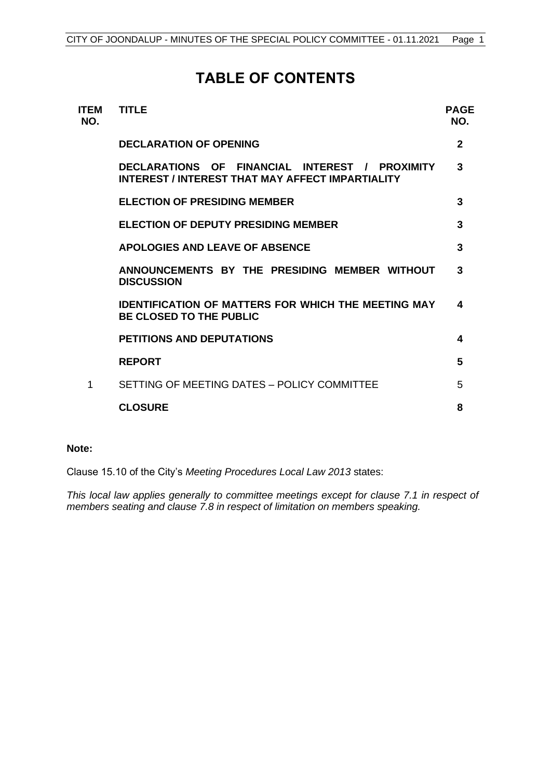# **TABLE OF CONTENTS**

| <b>TITLE</b>                                                                                       | PAGE<br>NO.  |
|----------------------------------------------------------------------------------------------------|--------------|
| <b>DECLARATION OF OPENING</b>                                                                      | $\mathbf{2}$ |
| DECLARATIONS OF FINANCIAL INTEREST / PROXIMITY<br>INTEREST / INTEREST THAT MAY AFFECT IMPARTIALITY | 3            |
| <b>ELECTION OF PRESIDING MEMBER</b>                                                                | 3            |
| <b>ELECTION OF DEPUTY PRESIDING MEMBER</b>                                                         | 3            |
| <b>APOLOGIES AND LEAVE OF ABSENCE</b>                                                              | 3            |
| ANNOUNCEMENTS BY THE PRESIDING MEMBER WITHOUT<br><b>DISCUSSION</b>                                 | 3            |
| <b>IDENTIFICATION OF MATTERS FOR WHICH THE MEETING MAY</b><br><b>BE CLOSED TO THE PUBLIC</b>       | 4            |
| <b>PETITIONS AND DEPUTATIONS</b>                                                                   | 4            |
| <b>REPORT</b>                                                                                      | 5            |
| SETTING OF MEETING DATES - POLICY COMMITTEE                                                        | 5            |
| <b>CLOSURE</b>                                                                                     | 8            |
|                                                                                                    |              |

# **Note:**

Clause 15.10 of the City's *Meeting Procedures Local Law 2013* states:

*This local law applies generally to committee meetings except for clause 7.1 in respect of members seating and clause 7.8 in respect of limitation on members speaking.*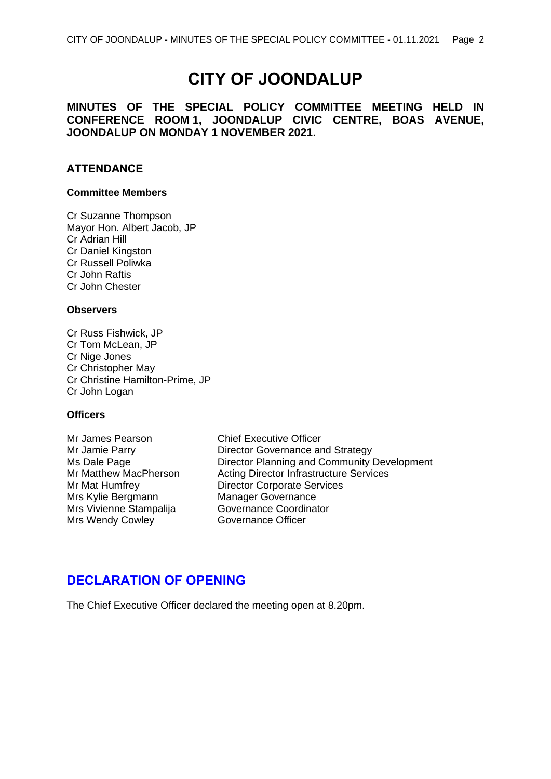# **CITY OF JOONDALUP**

# **MINUTES OF THE SPECIAL POLICY COMMITTEE MEETING HELD IN CONFERENCE ROOM 1, JOONDALUP CIVIC CENTRE, BOAS AVENUE, JOONDALUP ON MONDAY 1 NOVEMBER 2021.**

# **ATTENDANCE**

### **Committee Members**

Cr Suzanne Thompson Mayor Hon. Albert Jacob, JP Cr Adrian Hill Cr Daniel Kingston Cr Russell Poliwka Cr John Raftis Cr John Chester

## **Observers**

Cr Russ Fishwick, JP Cr Tom McLean, JP Cr Nige Jones Cr Christopher May Cr Christine Hamilton-Prime, JP Cr John Logan

# **Officers**

Mr James Pearson Chief Executive Officer Mrs Kylie Bergmann Manager Governance Mrs Vivienne Stampalija Governance Coordinator Mrs Wendy Cowley **Governance Officer** 

Mr Jamie Parry **Director Governance and Strategy** Ms Dale Page **Director Planning and Community Development** Mr Matthew MacPherson Acting Director Infrastructure Services Mr Mat Humfrey Director Corporate Services

# <span id="page-2-0"></span>**DECLARATION OF OPENING**

The Chief Executive Officer declared the meeting open at 8.20pm.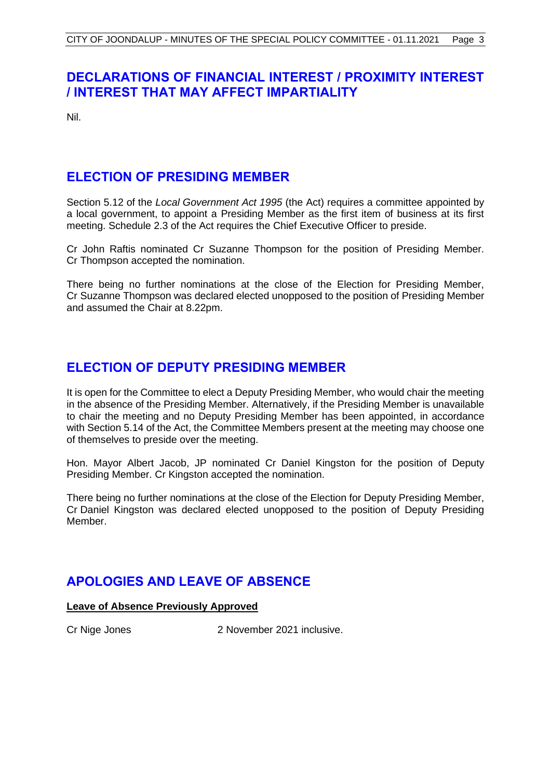# <span id="page-3-0"></span>**DECLARATIONS OF FINANCIAL INTEREST / PROXIMITY INTEREST / INTEREST THAT MAY AFFECT IMPARTIALITY**

Nil.

# <span id="page-3-1"></span>**ELECTION OF PRESIDING MEMBER**

Section 5.12 of the *Local Government Act 1995* (the Act) requires a committee appointed by a local government, to appoint a Presiding Member as the first item of business at its first meeting. Schedule 2.3 of the Act requires the Chief Executive Officer to preside.

Cr John Raftis nominated Cr Suzanne Thompson for the position of Presiding Member. Cr Thompson accepted the nomination.

There being no further nominations at the close of the Election for Presiding Member, Cr Suzanne Thompson was declared elected unopposed to the position of Presiding Member and assumed the Chair at 8.22pm.

# <span id="page-3-2"></span>**ELECTION OF DEPUTY PRESIDING MEMBER**

It is open for the Committee to elect a Deputy Presiding Member, who would chair the meeting in the absence of the Presiding Member. Alternatively, if the Presiding Member is unavailable to chair the meeting and no Deputy Presiding Member has been appointed, in accordance with Section 5.14 of the Act, the Committee Members present at the meeting may choose one of themselves to preside over the meeting.

Hon. Mayor Albert Jacob, JP nominated Cr Daniel Kingston for the position of Deputy Presiding Member. Cr Kingston accepted the nomination.

There being no further nominations at the close of the Election for Deputy Presiding Member, Cr Daniel Kingston was declared elected unopposed to the position of Deputy Presiding Member.

# <span id="page-3-3"></span>**APOLOGIES AND LEAVE OF ABSENCE**

# **Leave of Absence Previously Approved**

<span id="page-3-4"></span>

Cr Nige Jones 2 November 2021 inclusive.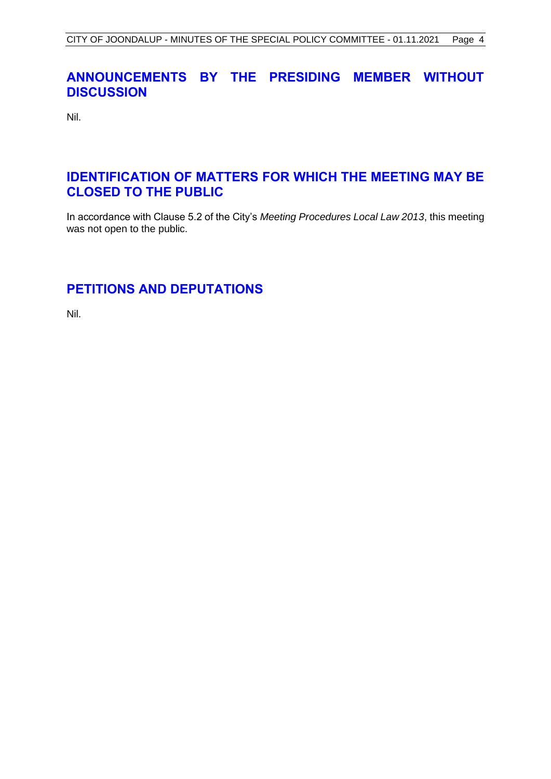# **ANNOUNCEMENTS BY THE PRESIDING MEMBER WITHOUT DISCUSSION**

Nil.

# <span id="page-4-0"></span>**IDENTIFICATION OF MATTERS FOR WHICH THE MEETING MAY BE CLOSED TO THE PUBLIC**

In accordance with Clause 5.2 of the City's *Meeting Procedures Local Law 2013*, this meeting was not open to the public.

# <span id="page-4-1"></span>**PETITIONS AND DEPUTATIONS**

Nil.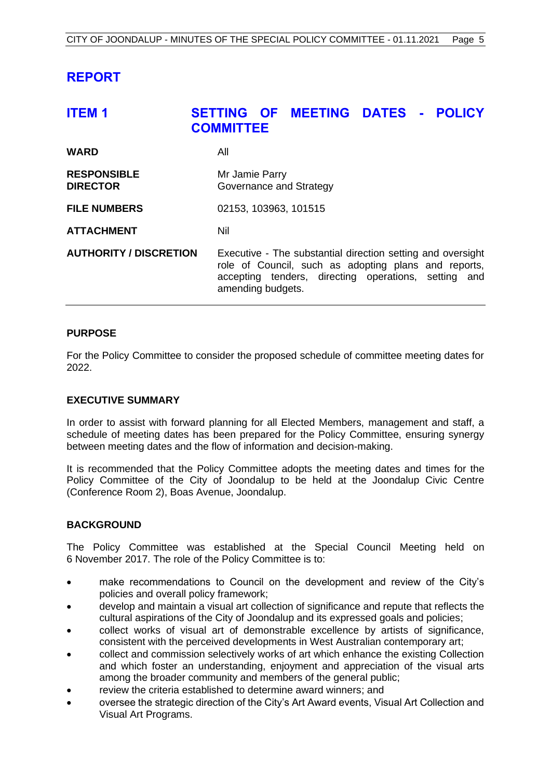# <span id="page-5-0"></span>**REPORT**

# <span id="page-5-1"></span>**ITEM 1 SETTING OF MEETING DATES - POLICY COMMITTEE WARD** All **RESPONSIBLE** Mr Jamie Parry **DIRECTOR Governance and Strategy FILE NUMBERS** 02153, 103963, 101515 **ATTACHMENT** Nil **AUTHORITY / DISCRETION** Executive - The substantial direction setting and oversight role of Council, such as adopting plans and reports, accepting tenders, directing operations, setting and amending budgets.

# **PURPOSE**

For the Policy Committee to consider the proposed schedule of committee meeting dates for 2022.

## **EXECUTIVE SUMMARY**

In order to assist with forward planning for all Elected Members, management and staff, a schedule of meeting dates has been prepared for the Policy Committee, ensuring synergy between meeting dates and the flow of information and decision-making.

It is recommended that the Policy Committee adopts the meeting dates and times for the Policy Committee of the City of Joondalup to be held at the Joondalup Civic Centre (Conference Room 2), Boas Avenue, Joondalup.

# **BACKGROUND**

The Policy Committee was established at the Special Council Meeting held on 6 November 2017. The role of the Policy Committee is to:

- make recommendations to Council on the development and review of the City's policies and overall policy framework;
- develop and maintain a visual art collection of significance and repute that reflects the cultural aspirations of the City of Joondalup and its expressed goals and policies;
- collect works of visual art of demonstrable excellence by artists of significance, consistent with the perceived developments in West Australian contemporary art;
- collect and commission selectively works of art which enhance the existing Collection and which foster an understanding, enjoyment and appreciation of the visual arts among the broader community and members of the general public;
- review the criteria established to determine award winners; and
- oversee the strategic direction of the City's Art Award events, Visual Art Collection and Visual Art Programs.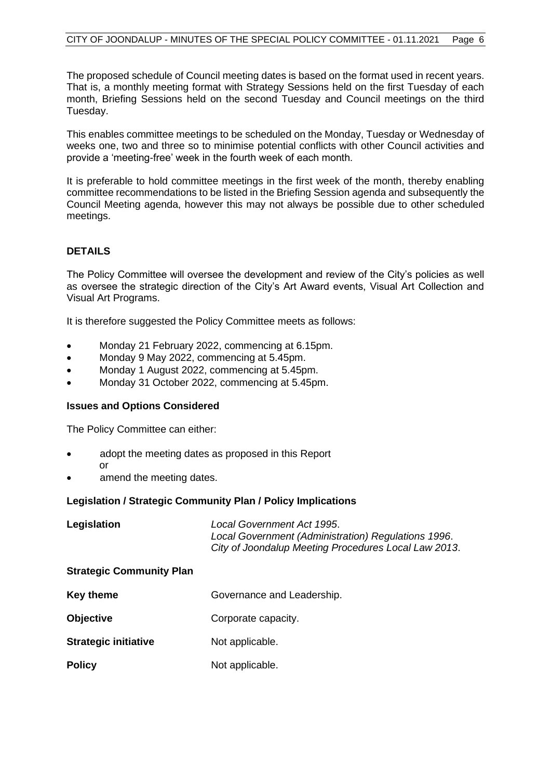The proposed schedule of Council meeting dates is based on the format used in recent years. That is, a monthly meeting format with Strategy Sessions held on the first Tuesday of each month, Briefing Sessions held on the second Tuesday and Council meetings on the third Tuesday.

This enables committee meetings to be scheduled on the Monday, Tuesday or Wednesday of weeks one, two and three so to minimise potential conflicts with other Council activities and provide a 'meeting-free' week in the fourth week of each month.

It is preferable to hold committee meetings in the first week of the month, thereby enabling committee recommendations to be listed in the Briefing Session agenda and subsequently the Council Meeting agenda, however this may not always be possible due to other scheduled meetings.

# **DETAILS**

The Policy Committee will oversee the development and review of the City's policies as well as oversee the strategic direction of the City's Art Award events, Visual Art Collection and Visual Art Programs.

It is therefore suggested the Policy Committee meets as follows:

- Monday 21 February 2022, commencing at 6.15pm.
- Monday 9 May 2022, commencing at 5.45pm.
- Monday 1 August 2022, commencing at 5.45pm.
- Monday 31 October 2022, commencing at 5.45pm.

### **Issues and Options Considered**

The Policy Committee can either:

- adopt the meeting dates as proposed in this Report or
- amend the meeting dates.

### **Legislation / Strategic Community Plan / Policy Implications**

| Legislation | Local Government Act 1995.                           |
|-------------|------------------------------------------------------|
|             | Local Government (Administration) Regulations 1996.  |
|             | City of Joondalup Meeting Procedures Local Law 2013. |

### **Strategic Community Plan**

| <b>Key theme</b>            | Governance and Leadership. |
|-----------------------------|----------------------------|
| <b>Objective</b>            | Corporate capacity.        |
| <b>Strategic initiative</b> | Not applicable.            |
| <b>Policy</b>               | Not applicable.            |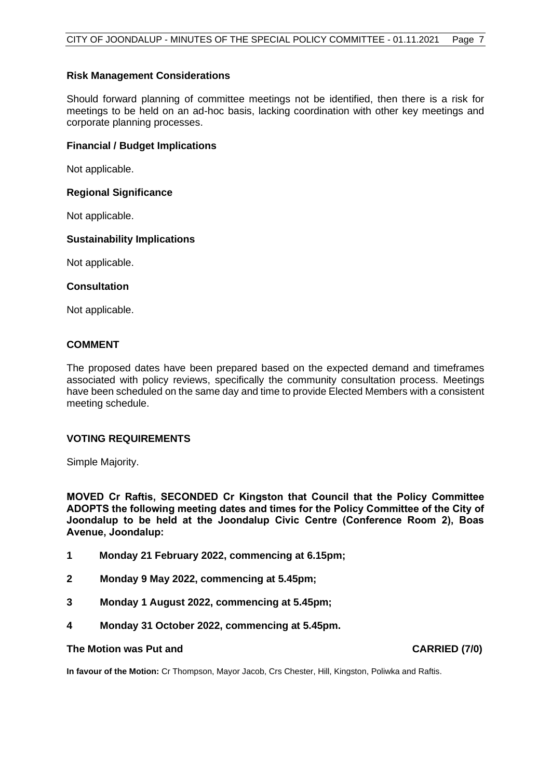### **Risk Management Considerations**

Should forward planning of committee meetings not be identified, then there is a risk for meetings to be held on an ad-hoc basis, lacking coordination with other key meetings and corporate planning processes.

### **Financial / Budget Implications**

Not applicable.

### **Regional Significance**

Not applicable.

## **Sustainability Implications**

Not applicable.

## **Consultation**

Not applicable.

### **COMMENT**

The proposed dates have been prepared based on the expected demand and timeframes associated with policy reviews, specifically the community consultation process. Meetings have been scheduled on the same day and time to provide Elected Members with a consistent meeting schedule.

### **VOTING REQUIREMENTS**

Simple Majority.

**MOVED Cr Raftis, SECONDED Cr Kingston that Council that the Policy Committee ADOPTS the following meeting dates and times for the Policy Committee of the City of Joondalup to be held at the Joondalup Civic Centre (Conference Room 2), Boas Avenue, Joondalup:**

- **1 Monday 21 February 2022, commencing at 6.15pm;**
- **2 Monday 9 May 2022, commencing at 5.45pm;**
- **3 Monday 1 August 2022, commencing at 5.45pm;**
- **4 Monday 31 October 2022, commencing at 5.45pm.**

### **The Motion was Put and CARRIED (7/0)**

**In favour of the Motion:** Cr Thompson, Mayor Jacob, Crs Chester, Hill, Kingston, Poliwka and Raftis.